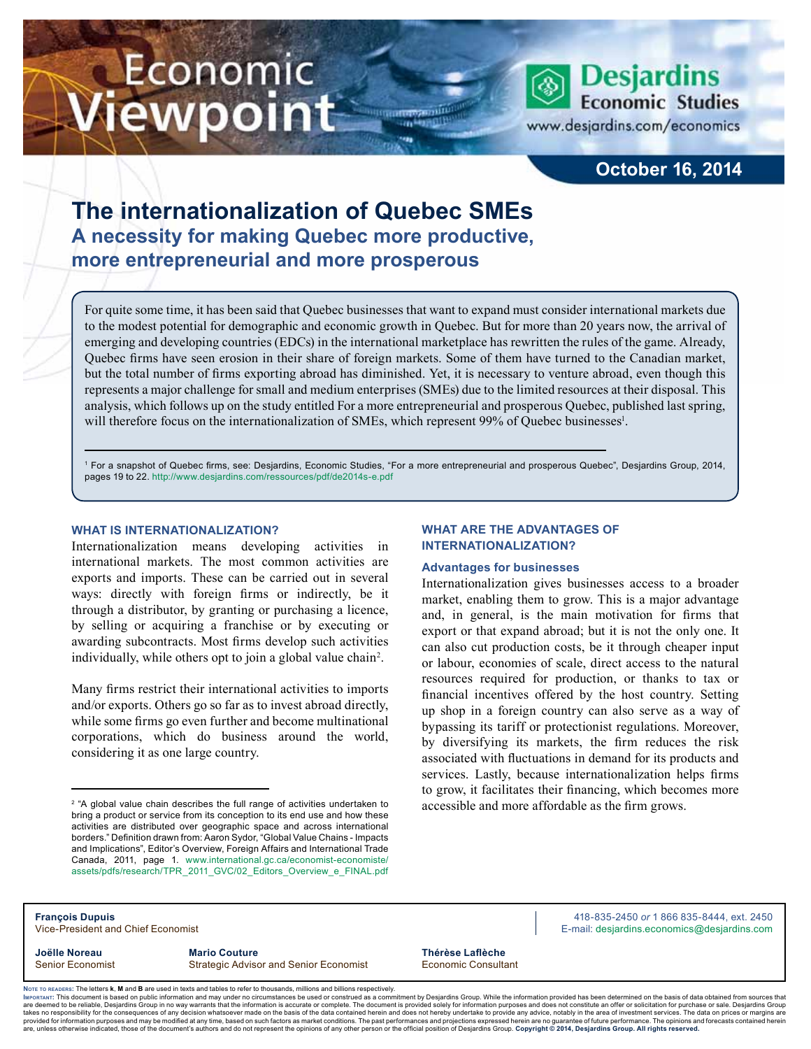# Economic iewpoint



www.desjardins.com/economics

**Desjardins Economic Studies** 

## **October 16, 2014**

# **The internationalization of Quebec SMEs A necessity for making Quebec more productive, more entrepreneurial and more prosperous**

For quite some time, it has been said that Quebec businesses that want to expand must consider international markets due to the modest potential for demographic and economic growth in Quebec. But for more than 20 years now, the arrival of emerging and developing countries (EDCs) in the international marketplace has rewritten the rules of the game. Already, Quebec firms have seen erosion in their share of foreign markets. Some of them have turned to the Canadian market, but the total number of firms exporting abroad has diminished. Yet, it is necessary to venture abroad, even though this represents a major challenge for small and medium enterprises (SMEs) due to the limited resources at their disposal. This analysis, which follows up on the study entitled For a more entrepreneurial and prosperous Quebec, published last spring, will therefore focus on the internationalization of SMEs, which represent 99% of Quebec businesses<sup>1</sup>.

,,,

1 For a snapshot of Quebec firms, see: Desjardins, Economic Studies, "For a more entrepreneurial and prosperous Quebec", Desjardins Group, 2014, pages 19 to 22. http://www.desjardins.com/ressources/pdf/de2014s-e.pdf

## **What is internationalization?**

Internationalization means developing activities in international markets. The most common activities are exports and imports. These can be carried out in several ways: directly with foreign firms or indirectly, be it through a distributor, by granting or purchasing a licence, by selling or acquiring a franchise or by executing or awarding subcontracts. Most firms develop such activities individually, while others opt to join a global value chain<sup>2</sup>.

Many firms restrict their international activities to imports and/or exports. Others go so far as to invest abroad directly, while some firms go even further and become multinational corporations, which do business around the world, considering it as one large country.

## **What are the advantages of internationalization?**

## **Advantages for businesses**

Internationalization gives businesses access to a broader market, enabling them to grow. This is a major advantage and, in general, is the main motivation for firms that export or that expand abroad; but it is not the only one. It can also cut production costs, be it through cheaper input or labour, economies of scale, direct access to the natural resources required for production, or thanks to tax or financial incentives offered by the host country. Setting up shop in a foreign country can also serve as a way of bypassing its tariff or protectionist regulations. Moreover, by diversifying its markets, the firm reduces the risk associated with fluctuations in demand for its products and services. Lastly, because internationalization helps firms to grow, it facilitates their financing, which becomes more accessible and more affordable as the firm grows.

| <b>François Dupuis</b>             |                                               |                     | 418-835-2450 or 1 866 835-8444, ext. 2450   |  |  |
|------------------------------------|-----------------------------------------------|---------------------|---------------------------------------------|--|--|
| Vice-President and Chief Economist |                                               |                     | E-mail: desjardins.economics@desjardins.com |  |  |
| Joëlle Noreau                      | <b>Mario Couture</b>                          | Thérèse Laflèche    |                                             |  |  |
| <b>Senior Economist</b>            | <b>Strategic Advisor and Senior Economist</b> | Economic Consultant |                                             |  |  |

Noте то келоекs: The letters **k, M** and **B** are used in texts and tables to refer to thousands, millions and billions respectively.<br>Імроктлит: This document is based on public information and may under no circumstances be are deemed to be reliable. Desiardins Group in no way warrants that the information is accurate or complete. The document is provided solely for information purposes and does not constitute an offer or solicitation for pur takes no responsibility for the consequences of any decision whatsoever made on the basis of the data contained herein and does not hereby undertake to provide any advice, notably in the area of investment services. The da .<br>are, unless otherwise indicated, those of the document's authors and do not represent the opinions of any other person or the official position of Desjardins Group. Copyright © 2014, Desjardins Group. All rights reserved

<sup>2</sup> "A global value chain describes the full range of activities undertaken to bring a product or service from its conception to its end use and how these activities are distributed over geographic space and across international borders." Definition drawn from: Aaron Sydor, "Global Value Chains - Impacts and Implications", Editor's Overview, Foreign Affairs and International Trade Canada, 2011, page 1. www.international.gc.ca/economist-economiste/ assets/pdfs/research/TPR\_2011\_GVC/02\_Editors\_Overview\_e\_FINAL.pdf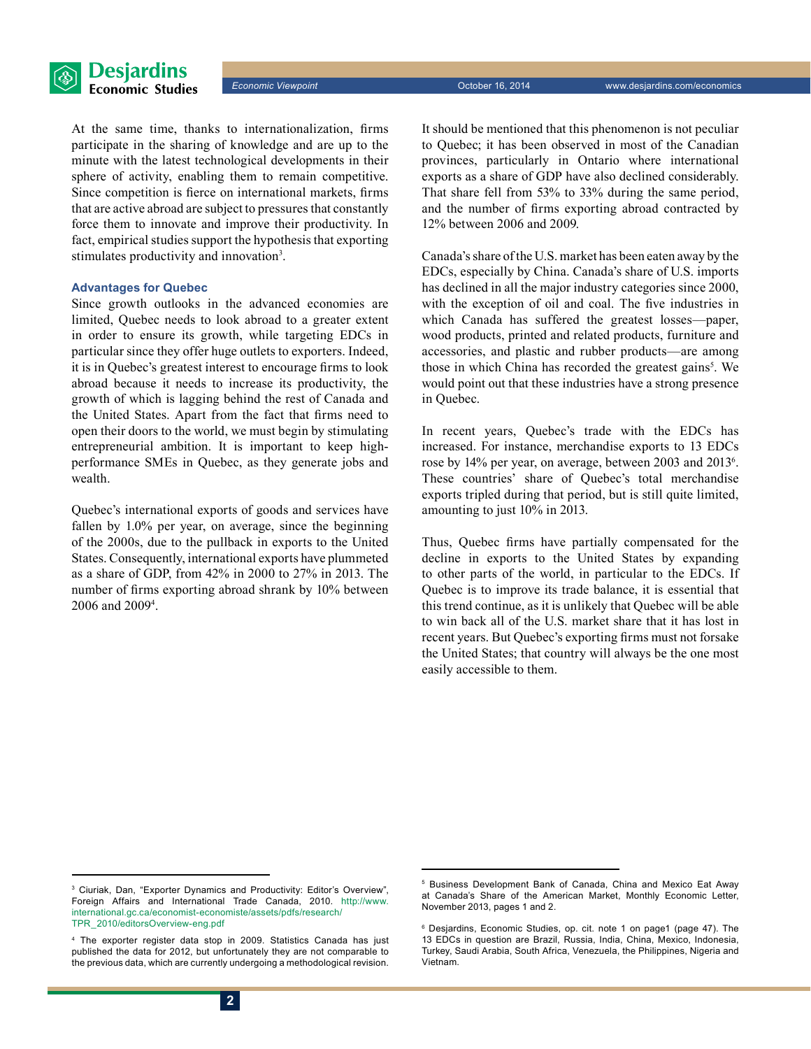



At the same time, thanks to internationalization, firms participate in the sharing of knowledge and are up to the minute with the latest technological developments in their sphere of activity, enabling them to remain competitive. Since competition is fierce on international markets, firms that are active abroad are subject to pressures that constantly force them to innovate and improve their productivity. In fact, empirical studies support the hypothesis that exporting stimulates productivity and innovation<sup>3</sup>.

## **Advantages for Quebec**

Since growth outlooks in the advanced economies are limited, Quebec needs to look abroad to a greater extent in order to ensure its growth, while targeting EDCs in particular since they offer huge outlets to exporters. Indeed, it is in Quebec's greatest interest to encourage firms to look abroad because it needs to increase its productivity, the growth of which is lagging behind the rest of Canada and the United States. Apart from the fact that firms need to open their doors to the world, we must begin by stimulating entrepreneurial ambition. It is important to keep highperformance SMEs in Quebec, as they generate jobs and wealth.

Quebec's international exports of goods and services have fallen by 1.0% per year, on average, since the beginning of the 2000s, due to the pullback in exports to the United States. Consequently, international exports have plummeted as a share of GDP, from 42% in 2000 to 27% in 2013. The number of firms exporting abroad shrank by 10% between 2006 and 20094 .

It should be mentioned that this phenomenon is not peculiar to Quebec; it has been observed in most of the Canadian provinces, particularly in Ontario where international exports as a share of GDP have also declined considerably. That share fell from 53% to 33% during the same period, and the number of firms exporting abroad contracted by 12% between 2006 and 2009.

Canada's share of the U.S. market has been eaten away by the EDCs, especially by China. Canada's share of U.S. imports has declined in all the major industry categories since 2000, with the exception of oil and coal. The five industries in which Canada has suffered the greatest losses—paper, wood products, printed and related products, furniture and accessories, and plastic and rubber products—are among those in which China has recorded the greatest gains<sup>5</sup>. We would point out that these industries have a strong presence in Quebec.

In recent years, Quebec's trade with the EDCs has increased. For instance, merchandise exports to 13 EDCs rose by 14% per year, on average, between 2003 and 2013<sup>6</sup>. These countries' share of Quebec's total merchandise exports tripled during that period, but is still quite limited, amounting to just 10% in 2013.

Thus, Quebec firms have partially compensated for the decline in exports to the United States by expanding to other parts of the world, in particular to the EDCs. If Quebec is to improve its trade balance, it is essential that this trend continue, as it is unlikely that Quebec will be able to win back all of the U.S. market share that it has lost in recent years. But Quebec's exporting firms must not forsake the United States; that country will always be the one most easily accessible to them.

<sup>3</sup> Ciuriak, Dan, "Exporter Dynamics and Productivity: Editor's Overview", Foreign Affairs and International Trade Canada, 2010. http://www. international.gc.ca/economist-economiste/assets/pdfs/research/ TPR\_2010/editorsOverview-eng.pdf

<sup>4</sup> The exporter register data stop in 2009. Statistics Canada has just published the data for 2012, but unfortunately they are not comparable to the previous data, which are currently undergoing a methodological revision.

<sup>5</sup> Business Development Bank of Canada, China and Mexico Eat Away at Canada's Share of the American Market, Monthly Economic Letter, November 2013, pages 1 and 2.

<sup>6</sup> Desjardins, Economic Studies, op. cit. note 1 on page1 (page 47). The 13 EDCs in question are Brazil, Russia, India, China, Mexico, Indonesia, Turkey, Saudi Arabia, South Africa, Venezuela, the Philippines, Nigeria and Vietnam.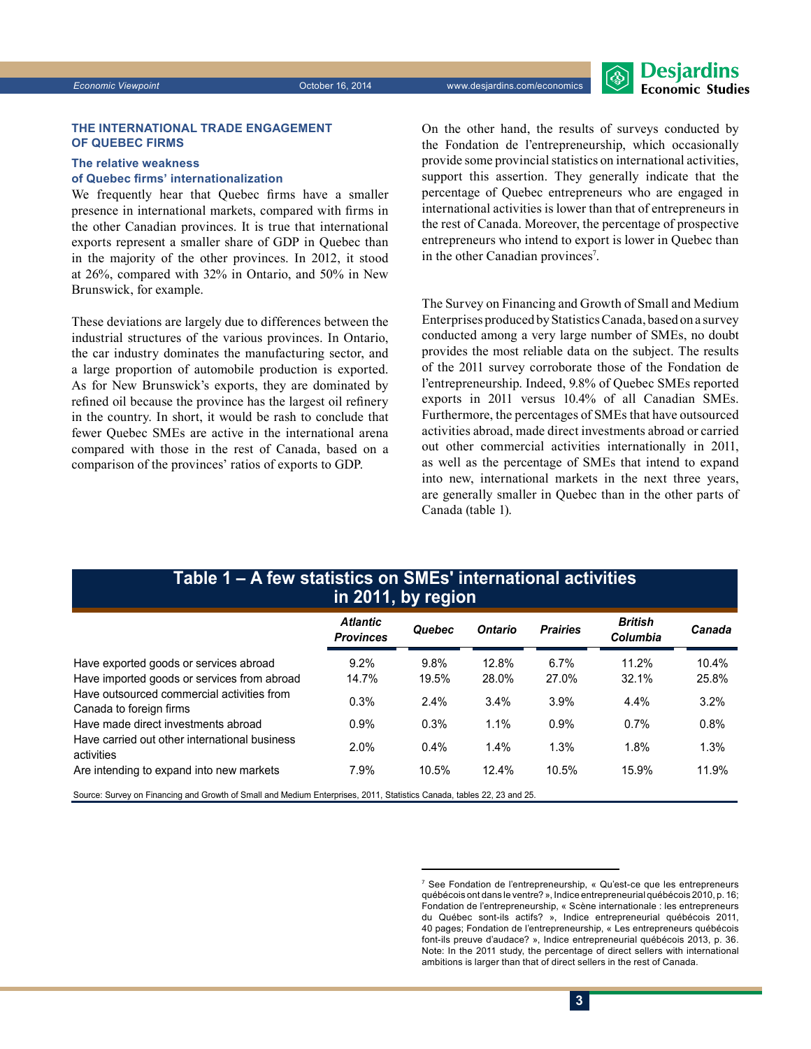#### **The international trade engagement of Quebec firms**

## **The relative weakness**

## **of Quebec firms' internationalization**

We frequently hear that Quebec firms have a smaller presence in international markets, compared with firms in the other Canadian provinces. It is true that international exports represent a smaller share of GDP in Quebec than in the majority of the other provinces. In 2012, it stood at 26%, compared with 32% in Ontario, and 50% in New Brunswick, for example.

These deviations are largely due to differences between the industrial structures of the various provinces. In Ontario, the car industry dominates the manufacturing sector, and a large proportion of automobile production is exported. As for New Brunswick's exports, they are dominated by refined oil because the province has the largest oil refinery in the country. In short, it would be rash to conclude that fewer Quebec SMEs are active in the international arena compared with those in the rest of Canada, based on a comparison of the provinces' ratios of exports to GDP.

On the other hand, the results of surveys conducted by the Fondation de l'entrepreneurship, which occasionally provide some provincial statistics on international activities, support this assertion. They generally indicate that the percentage of Quebec entrepreneurs who are engaged in international activities is lower than that of entrepreneurs in the rest of Canada. Moreover, the percentage of prospective entrepreneurs who intend to export is lower in Quebec than in the other Canadian provinces<sup>7</sup>.

The Survey on Financing and Growth of Small and Medium Enterprises produced by Statistics Canada, based on a survey conducted among a very large number of SMEs, no doubt provides the most reliable data on the subject. The results of the 2011 survey corroborate those of the Fondation de l'entrepreneurship. Indeed, 9.8% of Quebec SMEs reported exports in 2011 versus 10.4% of all Canadian SMEs. Furthermore, the percentages of SMEs that have outsourced activities abroad, made direct investments abroad or carried out other commercial activities internationally in 2011, as well as the percentage of SMEs that intend to expand into new, international markets in the next three years, are generally smaller in Quebec than in the other parts of Canada (table 1).

## **Table 1 – A few statistics on SMEs' international activities in 2011, by region**

|                                                                                                                        | <b>Atlantic</b><br><b>Provinces</b> | Quebec  | <b>Ontario</b> | <b>Prairies</b> | <b>British</b><br>Columbia | Canada |  |  |
|------------------------------------------------------------------------------------------------------------------------|-------------------------------------|---------|----------------|-----------------|----------------------------|--------|--|--|
| Have exported goods or services abroad                                                                                 | 9.2%                                | 9.8%    | 12.8%          | 6.7%            | 11.2%                      | 10.4%  |  |  |
| Have imported goods or services from abroad                                                                            | 14.7%                               | 19.5%   | 28.0%          | 27.0%           | 32.1%                      | 25.8%  |  |  |
| Have outsourced commercial activities from<br>Canada to foreign firms                                                  | 0.3%                                | 2.4%    | 3.4%           | 3.9%            | 4.4%                       | 3.2%   |  |  |
| Have made direct investments abroad                                                                                    | 0.9%                                | 0.3%    | 1.1%           | 0.9%            | 0.7%                       | 0.8%   |  |  |
| Have carried out other international business<br>activities                                                            | 2.0%                                | $0.4\%$ | 1.4%           | 1.3%            | 1.8%                       | 1.3%   |  |  |
| Are intending to expand into new markets                                                                               | 7.9%                                | 10.5%   | 12.4%          | 10.5%           | 15.9%                      | 11.9%  |  |  |
| Source: Survey on Financing and Growth of Small and Medium Enterprises, 2011, Statistics Canada, tables 22, 23 and 25. |                                     |         |                |                 |                            |        |  |  |

<sup>7</sup> See Fondation de l'entrepreneurship, « Qu'est-ce que les entrepreneurs québécois ont dans le ventre? », Indice entrepreneurial québécois 2010, p. 16; Fondation de l'entrepreneurship, « Scène internationale : les entrepreneurs du Québec sont-ils actifs? », Indice entrepreneurial québécois 2011, 40 pages; Fondation de l'entrepreneurship, « Les entrepreneurs québécois font-ils preuve d'audace? », Indice entrepreneurial québécois 2013, p. 36. Note: In the 2011 study, the percentage of direct sellers with international ambitions is larger than that of direct sellers in the rest of Canada.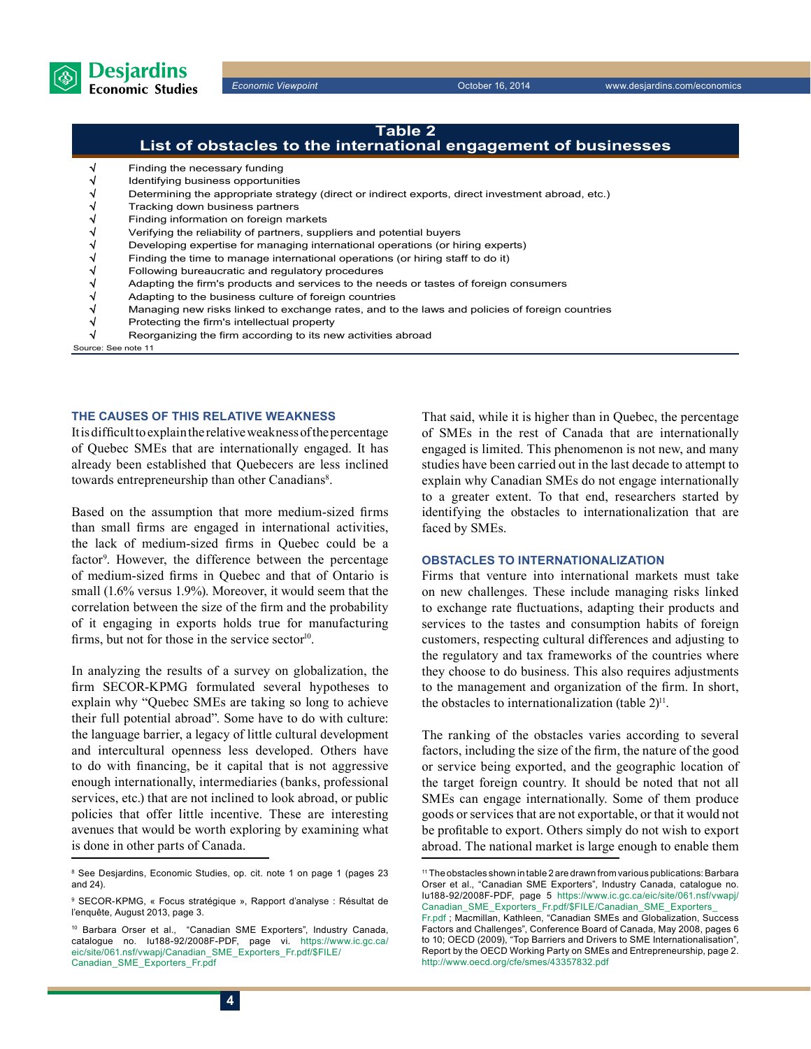

## Finding the necessary funding Identifying business opportunities V<br>
Determining the appropriate strategy (direct or indirect exports, direct investment abroad, etc.)<br>
Tracking down business partners<br>
Finding information on foreign markets<br>
Verifying the reliability of partners, supplie Tracking down business partners Finding information on foreign markets √ Verifying the reliability of partners, suppliers and potential buyers Developing expertise for managing international operations (or hiring experts) Finding the time to manage international operations (or hiring staff to do it) Following bureaucratic and regulatory procedures Adapting the firm's products and services to the needs or tastes of foreign consumers Adapting to the business culture of foreign countries √ Managing new risks linked to exchange rates, and to the laws and policies of foreign countries **Table 2 List of obstacles to the international engagement of businesses**

- Protecting the firm's intellectual property
- Reorganizing the firm according to its new activities abroad

Source: See note 11

## **The causes of this relative weakness**

It is difficult to explain the relative weakness of the percentage of Quebec SMEs that are internationally engaged. It has already been established that Quebecers are less inclined towards entrepreneurship than other Canadians<sup>8</sup>.

Based on the assumption that more medium-sized firms than small firms are engaged in international activities, the lack of medium-sized firms in Quebec could be a factor<sup>9</sup>. However, the difference between the percentage of medium-sized firms in Quebec and that of Ontario is small (1.6% versus 1.9%). Moreover, it would seem that the correlation between the size of the firm and the probability of it engaging in exports holds true for manufacturing firms, but not for those in the service sector $10$ .

In analyzing the results of a survey on globalization, the firm SECOR-KPMG formulated several hypotheses to explain why "Quebec SMEs are taking so long to achieve their full potential abroad". Some have to do with culture: the language barrier, a legacy of little cultural development and intercultural openness less developed. Others have to do with financing, be it capital that is not aggressive enough internationally, intermediaries (banks, professional services, etc.) that are not inclined to look abroad, or public policies that offer little incentive. These are interesting avenues that would be worth exploring by examining what is done in other parts of Canada.

That said, while it is higher than in Quebec, the percentage of SMEs in the rest of Canada that are internationally engaged is limited. This phenomenon is not new, and many studies have been carried out in the last decade to attempt to explain why Canadian SMEs do not engage internationally to a greater extent. To that end, researchers started by identifying the obstacles to internationalization that are faced by SMEs.

## **Obstacles to internationalization**

Firms that venture into international markets must take on new challenges. These include managing risks linked to exchange rate fluctuations, adapting their products and services to the tastes and consumption habits of foreign customers, respecting cultural differences and adjusting to the regulatory and tax frameworks of the countries where they choose to do business. This also requires adjustments to the management and organization of the firm. In short, the obstacles to internationalization (table  $2)^{11}$ .

The ranking of the obstacles varies according to several factors, including the size of the firm, the nature of the good or service being exported, and the geographic location of the target foreign country. It should be noted that not all SMEs can engage internationally. Some of them produce goods or services that are not exportable, or that it would not be profitable to export. Others simply do not wish to export abroad. The national market is large enough to enable them

<sup>8</sup> See Desjardins, Economic Studies, op. cit. note 1 on page 1 (pages 23 and 24).

<sup>9</sup> SECOR-KPMG, « Focus stratégique », Rapport d'analyse : Résultat de l'enquête, August 2013, page 3.

<sup>10</sup> Barbara Orser et al., "Canadian SME Exporters", Industry Canada, catalogue no. Iu188-92/2008F-PDF, page vi. https://www.ic.gc.ca/ eic/site/061.nsf/vwapj/Canadian\_SME\_Exporters\_Fr.pdf/\$FILE/ Canadian\_SME\_Exporters\_Fr.pdf

<sup>11</sup> The obstacles shown in table 2 are drawn from various publications: Barbara Orser et al., "Canadian SME Exporters", Industry Canada, catalogue no. Iu188-92/2008F-PDF, page 5 https://www.ic.gc.ca/eic/site/061.nsf/vwapj/ Canadian\_SME\_Exporters\_Fr.pdf/\$FILE/Canadian\_SME\_Exporters Fr.pdf ; Macmillan, Kathleen, "Canadian SMEs and Globalization, Success

Factors and Challenges", Conference Board of Canada, May 2008, pages 6 to 10; OECD (2009), "Top Barriers and Drivers to SME Internationalisation", Report by the OECD Working Party on SMEs and Entrepreneurship, page 2. http://www.oecd.org/cfe/smes/43357832.pdf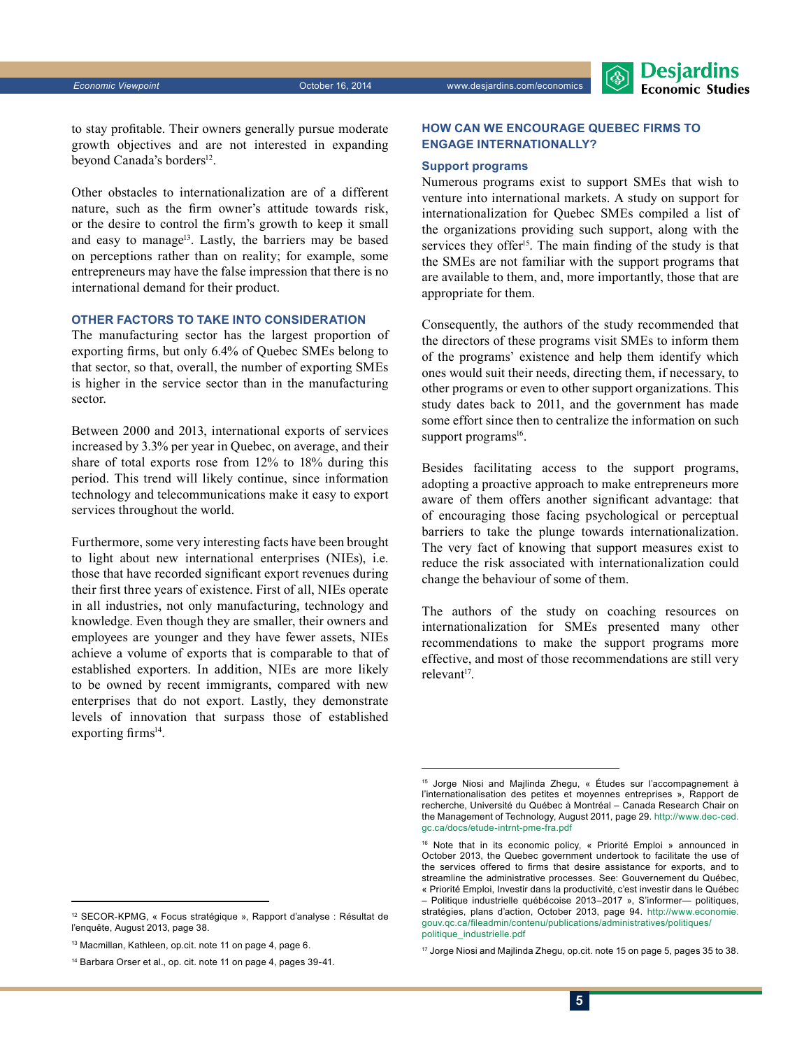

to stay profitable. Their owners generally pursue moderate growth objectives and are not interested in expanding beyond Canada's borders<sup>12</sup>.

Other obstacles to internationalization are of a different nature, such as the firm owner's attitude towards risk, or the desire to control the firm's growth to keep it small and easy to manage<sup>13</sup>. Lastly, the barriers may be based on perceptions rather than on reality; for example, some entrepreneurs may have the false impression that there is no international demand for their product.

## **Other factors to take into consideration**

The manufacturing sector has the largest proportion of exporting firms, but only 6.4% of Quebec SMEs belong to that sector, so that, overall, the number of exporting SMEs is higher in the service sector than in the manufacturing sector.

Between 2000 and 2013, international exports of services increased by 3.3% per year in Quebec, on average, and their share of total exports rose from 12% to 18% during this period. This trend will likely continue, since information technology and telecommunications make it easy to export services throughout the world.

Furthermore, some very interesting facts have been brought to light about new international enterprises (NIEs), i.e. those that have recorded significant export revenues during their first three years of existence. First of all, NIEs operate in all industries, not only manufacturing, technology and knowledge. Even though they are smaller, their owners and employees are younger and they have fewer assets, NIEs achieve a volume of exports that is comparable to that of established exporters. In addition, NIEs are more likely to be owned by recent immigrants, compared with new enterprises that do not export. Lastly, they demonstrate levels of innovation that surpass those of established exporting firms $14$ .

## **How can we encourage Quebec firms to engage internationally?**

#### **Support programs**

Numerous programs exist to support SMEs that wish to venture into international markets. A study on support for internationalization for Quebec SMEs compiled a list of the organizations providing such support, along with the services they offer<sup>15</sup>. The main finding of the study is that the SMEs are not familiar with the support programs that are available to them, and, more importantly, those that are appropriate for them.

Consequently, the authors of the study recommended that the directors of these programs visit SMEs to inform them of the programs' existence and help them identify which ones would suit their needs, directing them, if necessary, to other programs or even to other support organizations. This study dates back to 2011, and the government has made some effort since then to centralize the information on such support programs<sup>16</sup>.

Besides facilitating access to the support programs, adopting a proactive approach to make entrepreneurs more aware of them offers another significant advantage: that of encouraging those facing psychological or perceptual barriers to take the plunge towards internationalization. The very fact of knowing that support measures exist to reduce the risk associated with internationalization could change the behaviour of some of them.

The authors of the study on coaching resources on internationalization for SMEs presented many other recommendations to make the support programs more effective, and most of those recommendations are still very relevant $17$ .

<sup>12</sup> SECOR-KPMG, « Focus stratégique », Rapport d'analyse : Résultat de l'enquête, August 2013, page 38.

<sup>13</sup> Macmillan, Kathleen, op.cit. note 11 on page 4, page 6.

<sup>14</sup> Barbara Orser et al., op. cit. note 11 on page 4, pages 39-41.

<sup>15</sup> Jorge Niosi and Majlinda Zhegu, « Études sur l'accompagnement à l'internationalisation des petites et moyennes entreprises », Rapport de recherche, Université du Québec à Montréal – Canada Research Chair on the Management of Technology, August 2011, page 29. http://www.dec-ced. gc.ca/docs/etude-intrnt-pme-fra.pdf

<sup>16</sup> Note that in its economic policy, « Priorité Emploi » announced in October 2013, the Quebec government undertook to facilitate the use of the services offered to firms that desire assistance for exports, and to streamline the administrative processes. See: Gouvernement du Québec, « Priorité Emploi, Investir dans la productivité, c'est investir dans le Québec – Politique industrielle québécoise 2013–2017 », S'informer— politiques, stratégies, plans d'action, October 2013, page 94. http://www.economie. gouv.qc.ca/fileadmin/contenu/publications/administratives/politiques/ politique\_industrielle.pdf

<sup>&</sup>lt;sup>17</sup> Jorge Niosi and Majlinda Zhegu, op.cit. note 15 on page 5, pages 35 to 38.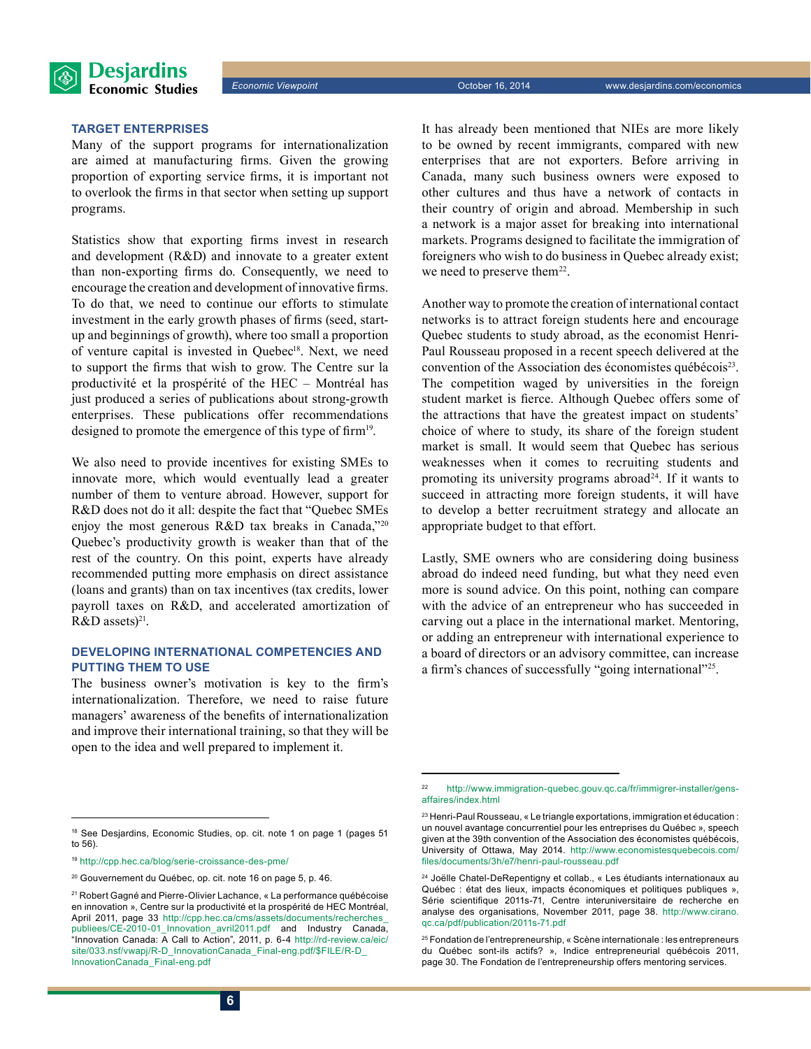

**Target enterprises**

Many of the support programs for internationalization are aimed at manufacturing firms. Given the growing proportion of exporting service firms, it is important not to overlook the firms in that sector when setting up support programs.

Statistics show that exporting firms invest in research and development (R&D) and innovate to a greater extent than non-exporting firms do. Consequently, we need to encourage the creation and development of innovative firms. To do that, we need to continue our efforts to stimulate investment in the early growth phases of firms (seed, startup and beginnings of growth), where too small a proportion of venture capital is invested in Quebec<sup>18</sup>. Next, we need to support the firms that wish to grow. The Centre sur la productivité et la prospérité of the HEC – Montréal has just produced a series of publications about strong-growth enterprises. These publications offer recommendations designed to promote the emergence of this type of firm<sup>19</sup>.

We also need to provide incentives for existing SMEs to innovate more, which would eventually lead a greater number of them to venture abroad. However, support for R&D does not do it all: despite the fact that "Quebec SMEs enjoy the most generous R&D tax breaks in Canada,"20 Quebec's productivity growth is weaker than that of the rest of the country. On this point, experts have already recommended putting more emphasis on direct assistance (loans and grants) than on tax incentives (tax credits, lower payroll taxes on R&D, and accelerated amortization of  $R&D$  assets)<sup>21</sup>.

## **Developing international competencies and putting them to use**

The business owner's motivation is key to the firm's internationalization. Therefore, we need to raise future managers' awareness of the benefits of internationalization and improve their international training, so that they will be open to the idea and well prepared to implement it.

It has already been mentioned that NIEs are more likely to be owned by recent immigrants, compared with new enterprises that are not exporters. Before arriving in Canada, many such business owners were exposed to other cultures and thus have a network of contacts in their country of origin and abroad. Membership in such a network is a major asset for breaking into international markets. Programs designed to facilitate the immigration of foreigners who wish to do business in Quebec already exist; we need to preserve them<sup>22</sup>.

Another way to promote the creation of international contact networks is to attract foreign students here and encourage Quebec students to study abroad, as the economist Henri-Paul Rousseau proposed in a recent speech delivered at the convention of the Association des économistes québécois<sup>23</sup>. The competition waged by universities in the foreign student market is fierce. Although Quebec offers some of the attractions that have the greatest impact on students' choice of where to study, its share of the foreign student market is small. It would seem that Quebec has serious weaknesses when it comes to recruiting students and promoting its university programs abroad<sup>24</sup>. If it wants to succeed in attracting more foreign students, it will have to develop a better recruitment strategy and allocate an appropriate budget to that effort.

Lastly, SME owners who are considering doing business abroad do indeed need funding, but what they need even more is sound advice. On this point, nothing can compare with the advice of an entrepreneur who has succeeded in carving out a place in the international market. Mentoring, or adding an entrepreneur with international experience to a board of directors or an advisory committee, can increase a firm's chances of successfully "going international"25.

<sup>22</sup> http://www.immigration-quebec.gouv.qc.ca/fr/immigrer-installer/gensaffaires/index.html

<sup>23</sup> Henri-Paul Rousseau, « Le triangle exportations, immigration et éducation : un nouvel avantage concurrentiel pour les entreprises du Québec », speech given at the 39th convention of the Association des économistes québécois, University of Ottawa, May 2014. http://www.economistesquebecois.com/ files/documents/3h/e7/henri-paul-rousseau.pdf

<sup>24</sup> Joëlle Chatel-DeRepentigny et collab., « Les étudiants internationaux au Québec : état des lieux, impacts économiques et politiques publiques », Série scientifique 2011s-71, Centre interuniversitaire de recherche en analyse des organisations, November 2011, page 38. http://www.cirano. qc.ca/pdf/publication/2011s-71.pdf

<sup>25</sup> Fondation de l'entrepreneurship, « Scène internationale : les entrepreneurs du Québec sont-ils actifs? », Indice entrepreneurial québécois 2011, page 30. The Fondation de l'entrepreneurship offers mentoring services.

<sup>&</sup>lt;sup>18</sup> See Desjardins, Economic Studies, op. cit. note 1 on page 1 (pages 51 to 56).

<sup>19</sup> http://cpp.hec.ca/blog/serie-croissance-des-pme/

<sup>20</sup> Gouvernement du Québec, op. cit. note 16 on page 5, p. 46.

<sup>21</sup> Robert Gagné and Pierre-Olivier Lachance, « La performance québécoise en innovation », Centre sur la productivité et la prospérité de HEC Montréal, April 2011, page 33 http://cpp.hec.ca/cms/assets/documents/recherches\_ publiees/CE-2010-01\_Innovation\_avril2011.pdf and Industry Canada, "Innovation Canada: A Call to Action", 2011, p. 6-4 http://rd-review.ca/eic/ site/033.nsf/vwapj/R-D\_InnovationCanada\_Final-eng.pdf/\$FILE/R-D InnovationCanada\_Final-eng.pdf